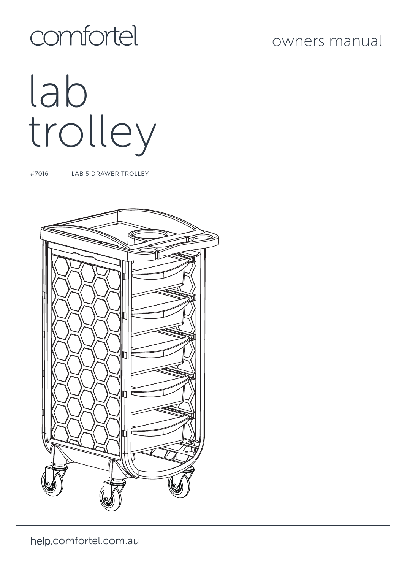# owners manual

# comfortel

# lab trolley

#7016 LAB 5 DRAWER TROLLEY